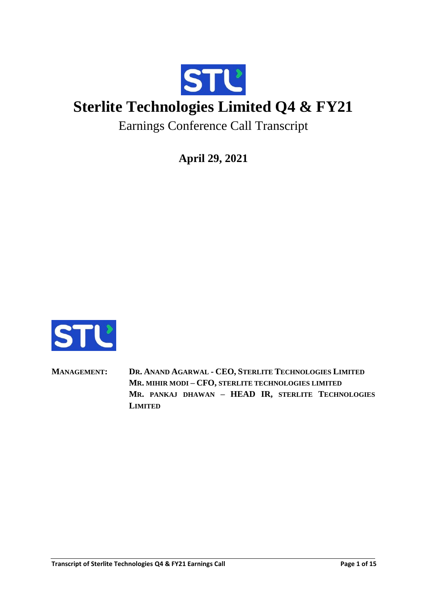

# **Sterlite Technologies Limited Q4 & FY21**

Earnings Conference Call Transcript

**April 29, 2021**



**MANAGEMENT: DR. ANAND AGARWAL - CEO, STERLITE TECHNOLOGIES LIMITED MR. MIHIR MODI – CFO, STERLITE TECHNOLOGIES LIMITED MR. PANKAJ DHAWAN – HEAD IR, STERLITE TECHNOLOGIES LIMITED**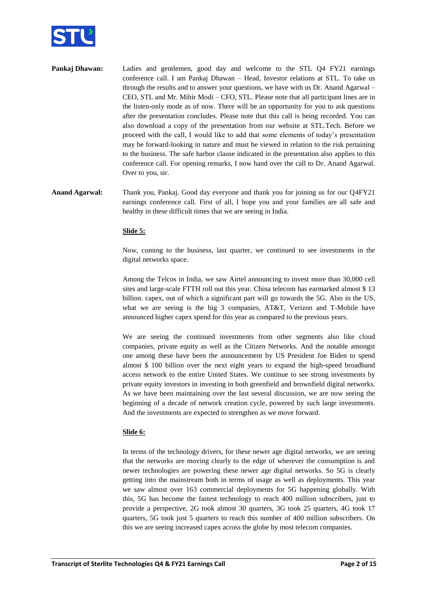

- **Pankaj Dhawan:** Ladies and gentlemen, good day and welcome to the STL Q4 FY21 earnings conference call. I am Pankaj Dhawan – Head, Investor relations at STL. To take us through the results and to answer your questions, we have with us Dr. Anand Agarwal – CEO, STL and Mr. Mihir Modi – CFO, STL. Please note that all participant lines are in the listen-only mode as of now. There will be an opportunity for you to ask questions after the presentation concludes. Please note that this call is being recorded. You can also download a copy of the presentation from our website at STL.Tech. Before we proceed with the call, I would like to add that some elements of today's presentation may be forward-looking in nature and must be viewed in relation to the risk pertaining to the business. The safe harbor clause indicated in the presentation also applies to this conference call. For opening remarks, I now hand over the call to Dr. Anand Agarwal. Over to you, sir.
- **Anand Agarwal:** Thank you, Pankaj. Good day everyone and thank you for joining us for our Q4FY21 earnings conference call. First of all, I hope you and your families are all safe and healthy in these difficult times that we are seeing in India.

## **Slide 5:**

Now, coming to the business, last quarter, we continued to see investments in the digital networks space.

Among the Telcos in India, we saw Airtel announcing to invest more than 30,000 cell sites and large-scale FTTH roll out this year. China telecom has earmarked almost \$ 13 billion. capex, out of which a significant part will go towards the 5G. Also in the US, what we are seeing is the big 3 companies, AT&T, Verizon and T-Mobile have announced higher capex spend for this year as compared to the previous years.

We are seeing the continued investments from other segments also like cloud companies, private equity as well as the Citizen Networks. And the notable amongst one among these have been the announcement by US President Joe Biden to spend almost \$ 100 billion over the next eight years to expand the high-speed broadband access network to the entire United States. We continue to see strong investments by private equity investors in investing in both greenfield and brownfield digital networks. As we have been maintaining over the last several discussion, we are now seeing the beginning of a decade of network creation cycle, powered by such large investments. And the investments are expected to strengthen as we move forward.

## **Slide 6:**

In terms of the technology drivers, for these newer age digital networks, we are seeing that the networks are moving clearly to the edge of wherever the consumption is and newer technologies are powering these newer age digital networks. So 5G is clearly getting into the mainstream both in terms of usage as well as deployments. This year we saw almost over 163 commercial deployments for 5G happening globally. With this, 5G has become the fastest technology to reach 400 million subscribers, just to provide a perspective, 2G took almost 30 quarters, 3G took 25 quarters, 4G took 17 quarters, 5G took just 5 quarters to reach this number of 400 million subscribers. On this we are seeing increased capex across the globe by most telecom companies.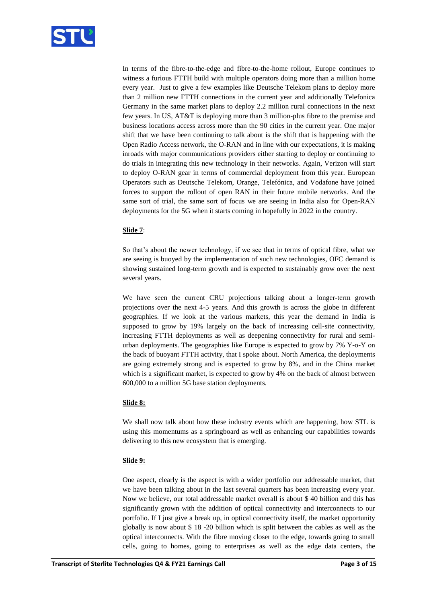

In terms of the fibre-to-the-edge and fibre-to-the-home rollout, Europe continues to witness a furious FTTH build with multiple operators doing more than a million home every year. Just to give a few examples like Deutsche Telekom plans to deploy more than 2 million new FTTH connections in the current year and additionally Telefonica Germany in the same market plans to deploy 2.2 million rural connections in the next few years. In US, AT&T is deploying more than 3 million-plus fibre to the premise and business locations access across more than the 90 cities in the current year. One major shift that we have been continuing to talk about is the shift that is happening with the Open Radio Access network, the O-RAN and in line with our expectations, it is making inroads with major communications providers either starting to deploy or continuing to do trials in integrating this new technology in their networks. Again, Verizon will start to deploy O-RAN gear in terms of commercial deployment from this year. European Operators such as Deutsche Telekom, Orange, Telefónica, and Vodafone have joined forces to support the rollout of open RAN in their future mobile networks. And the same sort of trial, the same sort of focus we are seeing in India also for Open-RAN deployments for the 5G when it starts coming in hopefully in 2022 in the country.

## **Slide 7**:

So that's about the newer technology, if we see that in terms of optical fibre, what we are seeing is buoyed by the implementation of such new technologies, OFC demand is showing sustained long-term growth and is expected to sustainably grow over the next several years.

We have seen the current CRU projections talking about a longer-term growth projections over the next 4-5 years. And this growth is across the globe in different geographies. If we look at the various markets, this year the demand in India is supposed to grow by 19% largely on the back of increasing cell-site connectivity, increasing FTTH deployments as well as deepening connectivity for rural and semiurban deployments. The geographies like Europe is expected to grow by 7% Y-o-Y on the back of buoyant FTTH activity, that I spoke about. North America, the deployments are going extremely strong and is expected to grow by 8%, and in the China market which is a significant market, is expected to grow by 4% on the back of almost between 600,000 to a million 5G base station deployments.

# **Slide 8:**

We shall now talk about how these industry events which are happening, how STL is using this momentums as a springboard as well as enhancing our capabilities towards delivering to this new ecosystem that is emerging.

## **Slide 9:**

One aspect, clearly is the aspect is with a wider portfolio our addressable market, that we have been talking about in the last several quarters has been increasing every year. Now we believe, our total addressable market overall is about \$ 40 billion and this has significantly grown with the addition of optical connectivity and interconnects to our portfolio. If I just give a break up, in optical connectivity itself, the market opportunity globally is now about \$ 18 -20 billion which is split between the cables as well as the optical interconnects. With the fibre moving closer to the edge, towards going to small cells, going to homes, going to enterprises as well as the edge data centers, the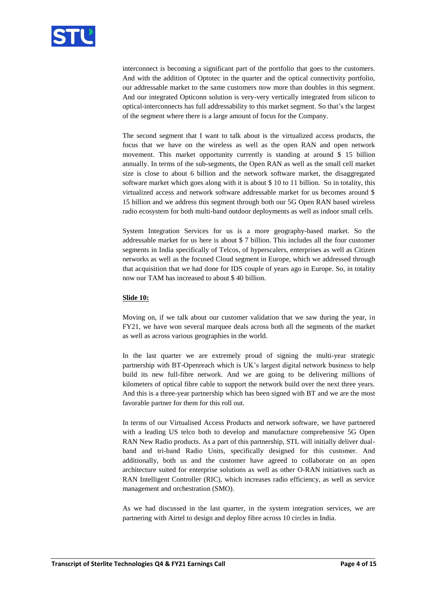

interconnect is becoming a significant part of the portfolio that goes to the customers. And with the addition of Optotec in the quarter and the optical connectivity portfolio, our addressable market to the same customers now more than doubles in this segment. And our integrated Opticonn solution is very-very vertically integrated from silicon to optical-interconnects has full addressability to this market segment. So that's the largest of the segment where there is a large amount of focus for the Company.

The second segment that I want to talk about is the virtualized access products, the focus that we have on the wireless as well as the open RAN and open network movement. This market opportunity currently is standing at around \$ 15 billion annually. In terms of the sub-segments, the Open RAN as well as the small cell market size is close to about 6 billion and the network software market, the disaggregated software market which goes along with it is about \$ 10 to 11 billion. So in totality, this virtualized access and network software addressable market for us becomes around \$ 15 billion and we address this segment through both our 5G Open RAN based wireless radio ecosystem for both multi-band outdoor deployments as well as indoor small cells.

System Integration Services for us is a more geography-based market. So the addressable market for us here is about \$ 7 billion. This includes all the four customer segments in India specifically of Telcos, of hyperscalers, enterprises as well as Citizen networks as well as the focused Cloud segment in Europe, which we addressed through that acquisition that we had done for IDS couple of years ago in Europe. So, in totality now our TAM has increased to about \$ 40 billion.

#### **Slide 10:**

Moving on, if we talk about our customer validation that we saw during the year, in FY21, we have won several marquee deals across both all the segments of the market as well as across various geographies in the world.

In the last quarter we are extremely proud of signing the multi-year strategic partnership with BT-Openreach which is UK's largest digital network business to help build its new full-fibre network. And we are going to be delivering millions of kilometers of optical fibre cable to support the network build over the next three years. And this is a three-year partnership which has been signed with BT and we are the most favorable partner for them for this roll out.

In terms of our Virtualised Access Products and network software, we have partnered with a leading US telco both to develop and manufacture comprehensive 5G Open RAN New Radio products. As a part of this partnership, STL will initially deliver dualband and tri-band Radio Units, specifically designed for this customer. And additionally, both us and the customer have agreed to collaborate on an open architecture suited for enterprise solutions as well as other O-RAN initiatives such as RAN Intelligent Controller (RIC), which increases radio efficiency, as well as service management and orchestration (SMO).

As we had discussed in the last quarter, in the system integration services, we are partnering with Airtel to design and deploy fibre across 10 circles in India.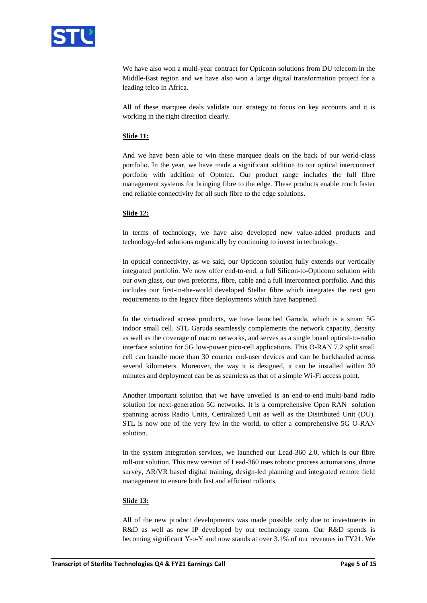

We have also won a multi-year contract for Opticonn solutions from DU telecom in the Middle-East region and we have also won a large digital transformation project for a leading telco in Africa.

All of these marquee deals validate our strategy to focus on key accounts and it is working in the right direction clearly.

## **Slide 11:**

And we have been able to win these marquee deals on the back of our world-class portfolio. In the year, we have made a significant addition to our optical interconnect portfolio with addition of Optotec. Our product range includes the full fibre management systems for bringing fibre to the edge. These products enable much faster end reliable connectivity for all such fibre to the edge solutions.

## **Slide 12:**

In terms of technology, we have also developed new value-added products and technology-led solutions organically by continuing to invest in technology.

In optical connectivity, as we said, our Opticonn solution fully extends our vertically integrated portfolio. We now offer end-to-end, a full Silicon-to-Opticonn solution with our own glass, our own preforms, fibre, cable and a full interconnect portfolio. And this includes our first-in-the-world developed Stellar fibre which integrates the next gen requirements to the legacy fibre deployments which have happened.

In the virtualized access products, we have launched Garuda, which is a smart 5G indoor small cell. STL Garuda seamlessly complements the network capacity, density as well as the coverage of macro networks, and serves as a single board optical-to-radio interface solution for 5G low-power pico-cell applications. This O-RAN 7.2 split small cell can handle more than 30 counter end-user devices and can be backhauled across several kilometers. Moreover, the way it is designed, it can be installed within 30 minutes and deployment can be as seamless as that of a simple Wi-Fi access point.

Another important solution that we have unveiled is an end-to-end multi-band radio solution for next-generation 5G networks. It is a comprehensive Open RAN solution spanning across Radio Units, Centralized Unit as well as the Distributed Unit (DU). STL is now one of the very few in the world, to offer a comprehensive 5G O-RAN solution.

In the system integration services, we launched our Lead-360 2.0, which is our fibre roll-out solution. This new version of Lead-360 uses robotic process automations, drone survey, AR/VR based digital training, design-led planning and integrated remote field management to ensure both fast and efficient rollouts.

## **Slide 13:**

All of the new product developments was made possible only due to investments in R&D as well as new IP developed by our technology team. Our R&D spends is becoming significant Y-o-Y and now stands at over 3.1% of our revenues in FY21. We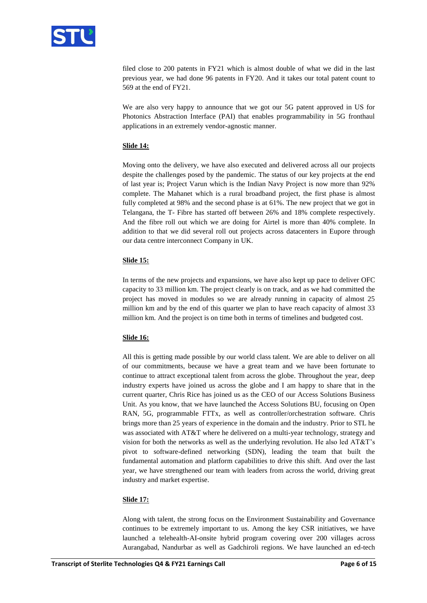

filed close to 200 patents in FY21 which is almost double of what we did in the last previous year, we had done 96 patents in FY20. And it takes our total patent count to 569 at the end of FY21.

We are also very happy to announce that we got our 5G patent approved in US for Photonics Abstraction Interface (PAI) that enables programmability in 5G fronthaul applications in an extremely vendor-agnostic manner.

## **Slide 14:**

Moving onto the delivery, we have also executed and delivered across all our projects despite the challenges posed by the pandemic. The status of our key projects at the end of last year is; Project Varun which is the Indian Navy Project is now more than 92% complete. The Mahanet which is a rural broadband project, the first phase is almost fully completed at 98% and the second phase is at 61%. The new project that we got in Telangana, the T- Fibre has started off between 26% and 18% complete respectively. And the fibre roll out which we are doing for Airtel is more than 40% complete. In addition to that we did several roll out projects across datacenters in Eupore through our data centre interconnect Company in UK.

## **Slide 15:**

In terms of the new projects and expansions, we have also kept up pace to deliver OFC capacity to 33 million km. The project clearly is on track, and as we had committed the project has moved in modules so we are already running in capacity of almost 25 million km and by the end of this quarter we plan to have reach capacity of almost 33 million km. And the project is on time both in terms of timelines and budgeted cost.

## **Slide 16:**

All this is getting made possible by our world class talent. We are able to deliver on all of our commitments, because we have a great team and we have been fortunate to continue to attract exceptional talent from across the globe. Throughout the year, deep industry experts have joined us across the globe and I am happy to share that in the current quarter, Chris Rice has joined us as the CEO of our Access Solutions Business Unit. As you know, that we have launched the Access Solutions BU, focusing on Open RAN, 5G, programmable FTTx, as well as controller/orchestration software. Chris brings more than 25 years of experience in the domain and the industry. Prior to STL he was associated with AT&T where he delivered on a multi-year technology, strategy and vision for both the networks as well as the underlying revolution. He also led AT&T's pivot to software-defined networking (SDN), leading the team that built the fundamental automation and platform capabilities to drive this shift. And over the last year, we have strengthened our team with leaders from across the world, driving great industry and market expertise.

#### **Slide 17:**

Along with talent, the strong focus on the Environment Sustainability and Governance continues to be extremely important to us. Among the key CSR initiatives, we have launched a telehealth-AI-onsite hybrid program covering over 200 villages across Aurangabad, Nandurbar as well as Gadchiroli regions. We have launched an ed-tech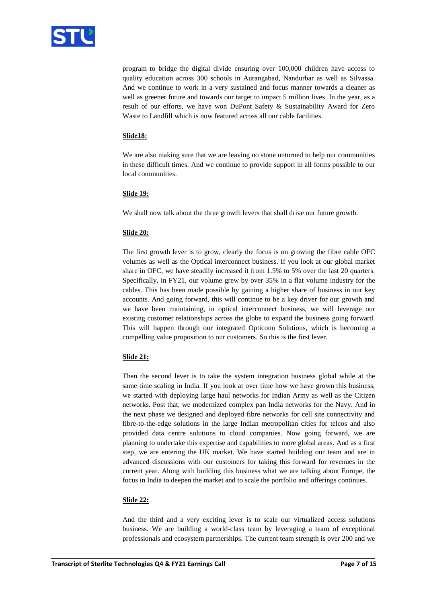

program to bridge the digital divide ensuring over 100,000 children have access to quality education across 300 schools in Aurangabad, Nandurbar as well as Silvassa. And we continue to work in a very sustained and focus manner towards a cleaner as well as greener future and towards our target to impact 5 million lives. In the year, as a result of our efforts, we have won DuPont Safety & Sustainability Award for Zero Waste to Landfill which is now featured across all our cable facilities.

## **Slide18:**

We are also making sure that we are leaving no stone unturned to help our communities in these difficult times. And we continue to provide support in all forms possible to our local communities.

## **Slide 19:**

We shall now talk about the three growth levers that shall drive our future growth.

## **Slide 20:**

The first growth lever is to grow, clearly the focus is on growing the fibre cable OFC volumes as well as the Optical interconnect business. If you look at our global market share in OFC, we have steadily increased it from 1.5% to 5% over the last 20 quarters. Specifically, in FY21, our volume grew by over 35% in a flat volume industry for the cables. This has been made possible by gaining a higher share of business in our key accounts. And going forward, this will continue to be a key driver for our growth and we have been maintaining, in optical interconnect business, we will leverage our existing customer relationships across the globe to expand the business going forward. This will happen through our integrated Opticonn Solutions, which is becoming a compelling value proposition to our customers. So this is the first lever.

# **Slide 21:**

Then the second lever is to take the system integration business global while at the same time scaling in India. If you look at over time how we have grown this business, we started with deploying large haul networks for Indian Army as well as the Citizen networks. Post that, we modernized complex pan India networks for the Navy. And in the next phase we designed and deployed fibre networks for cell site connectivity and fibre-to-the-edge solutions in the large Indian metropolitan cities for telcos and also provided data centre solutions to cloud companies. Now going forward, we are planning to undertake this expertise and capabilities to more global areas. And as a first step, we are entering the UK market. We have started building our team and are in advanced discussions with our customers for taking this forward for revenues in the current year. Along with building this business what we are talking about Europe, the focus in India to deepen the market and to scale the portfolio and offerings continues.

## **Slide 22:**

And the third and a very exciting lever is to scale our virtualized access solutions business. We are building a world-class team by leveraging a team of exceptional professionals and ecosystem partnerships. The current team strength is over 200 and we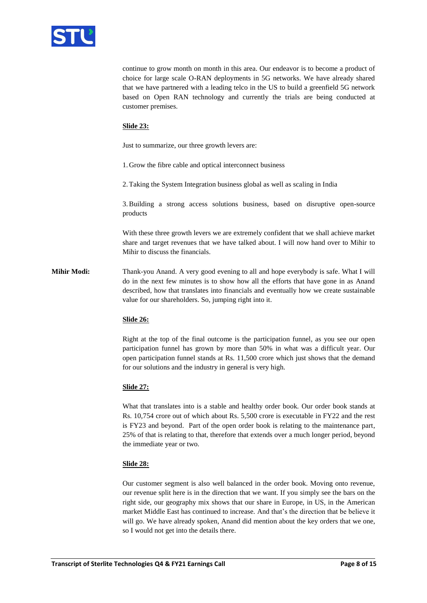

continue to grow month on month in this area. Our endeavor is to become a product of choice for large scale O-RAN deployments in 5G networks. We have already shared that we have partnered with a leading telco in the US to build a greenfield 5G network based on Open RAN technology and currently the trials are being conducted at customer premises.

## **Slide 23:**

Just to summarize, our three growth levers are:

1. Grow the fibre cable and optical interconnect business

2.Taking the System Integration business global as well as scaling in India

3.Building a strong access solutions business, based on disruptive open-source products

With these three growth levers we are extremely confident that we shall achieve market share and target revenues that we have talked about. I will now hand over to Mihir to Mihir to discuss the financials.

**Mihir Modi:** Thank-you Anand. A very good evening to all and hope everybody is safe. What I will do in the next few minutes is to show how all the efforts that have gone in as Anand described, how that translates into financials and eventually how we create sustainable value for our shareholders. So, jumping right into it.

## **Slide 26:**

Right at the top of the final outcome is the participation funnel, as you see our open participation funnel has grown by more than 50% in what was a difficult year. Our open participation funnel stands at Rs. 11,500 crore which just shows that the demand for our solutions and the industry in general is very high.

## **Slide 27:**

What that translates into is a stable and healthy order book. Our order book stands at Rs. 10,754 crore out of which about Rs. 5,500 crore is executable in FY22 and the rest is FY23 and beyond. Part of the open order book is relating to the maintenance part, 25% of that is relating to that, therefore that extends over a much longer period, beyond the immediate year or two.

## **Slide 28:**

Our customer segment is also well balanced in the order book. Moving onto revenue, our revenue split here is in the direction that we want. If you simply see the bars on the right side, our geography mix shows that our share in Europe, in US, in the American market Middle East has continued to increase. And that's the direction that be believe it will go. We have already spoken, Anand did mention about the key orders that we one, so I would not get into the details there.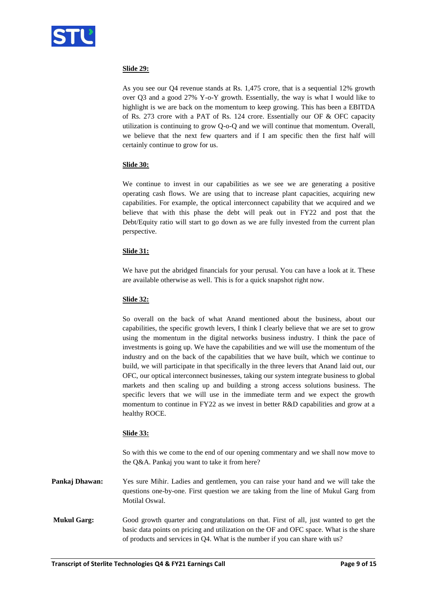

# **Slide 29:**

As you see our Q4 revenue stands at Rs. 1,475 crore, that is a sequential 12% growth over Q3 and a good 27% Y-o-Y growth. Essentially, the way is what I would like to highlight is we are back on the momentum to keep growing. This has been a EBITDA of Rs. 273 crore with a PAT of Rs. 124 crore. Essentially our OF & OFC capacity utilization is continuing to grow Q-o-Q and we will continue that momentum. Overall, we believe that the next few quarters and if I am specific then the first half will certainly continue to grow for us.

# **Slide 30:**

We continue to invest in our capabilities as we see we are generating a positive operating cash flows. We are using that to increase plant capacities, acquiring new capabilities. For example, the optical interconnect capability that we acquired and we believe that with this phase the debt will peak out in FY22 and post that the Debt/Equity ratio will start to go down as we are fully invested from the current plan perspective.

# **Slide 31:**

We have put the abridged financials for your perusal. You can have a look at it. These are available otherwise as well. This is for a quick snapshot right now.

## **Slide 32:**

So overall on the back of what Anand mentioned about the business, about our capabilities, the specific growth levers, I think I clearly believe that we are set to grow using the momentum in the digital networks business industry. I think the pace of investments is going up. We have the capabilities and we will use the momentum of the industry and on the back of the capabilities that we have built, which we continue to build, we will participate in that specifically in the three levers that Anand laid out, our OFC, our optical interconnect businesses, taking our system integrate business to global markets and then scaling up and building a strong access solutions business. The specific levers that we will use in the immediate term and we expect the growth momentum to continue in FY22 as we invest in better R&D capabilities and grow at a healthy ROCE.

## **Slide 33:**

So with this we come to the end of our opening commentary and we shall now move to the Q&A. Pankaj you want to take it from here?

**Pankaj Dhawan:** Yes sure Mihir. Ladies and gentlemen, you can raise your hand and we will take the questions one-by-one. First question we are taking from the line of Mukul Garg from Motilal Oswal.

**Mukul Garg:** Good growth quarter and congratulations on that. First of all, just wanted to get the basic data points on pricing and utilization on the OF and OFC space. What is the share of products and services in Q4. What is the number if you can share with us?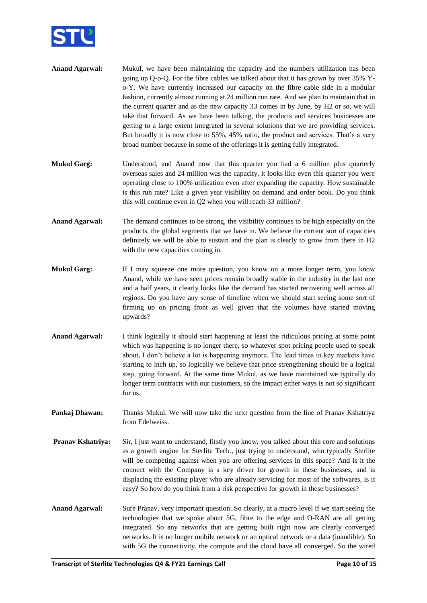

| <b>Anand Agarwal:</b> | Mukul, we have been maintaining the capacity and the numbers utilization has been         |
|-----------------------|-------------------------------------------------------------------------------------------|
|                       | going up Q-o-Q. For the fibre cables we talked about that it has grown by over 35% Y-     |
|                       | o-Y. We have currently increased our capacity on the fibre cable side in a modular        |
|                       | fashion, currently almost running at 24 million run rate. And we plan to maintain that in |
|                       | the current quarter and as the new capacity 33 comes in by June, by H2 or so, we will     |
|                       | take that forward. As we have been talking, the products and services businesses are      |
|                       | getting to a large extent integrated in several solutions that we are providing services. |
|                       | But broadly it is now close to 55%, 45% ratio, the product and services. That's a very    |
|                       | broad number because in some of the offerings it is getting fully integrated.             |

- **Mukul Garg:** Understood, and Anand now that this quarter you had a 6 million plus quarterly overseas sales and 24 million was the capacity, it looks like even this quarter you were operating close to 100% utilization even after expanding the capacity. How sustainable is this run rate? Like a given year visibility on demand and order book. Do you think this will continue even in Q2 when you will reach 33 million?
- **Anand Agarwal:** The demand continues to be strong, the visibility continues to be high especially on the products, the global segments that we have in. We believe the current sort of capacities definitely we will be able to sustain and the plan is clearly to grow from there in H2 with the new capacities coming in.
- **Mukul Garg:** If I may squeeze one more question, you know on a more longer term, you know Anand, while we have seen prices remain broadly stable in the industry in the last one and a half years, it clearly looks like the demand has started recovering well across all regions. Do you have any sense of timeline when we should start seeing some sort of firming up on pricing front as well given that the volumes have started moving upwards?
- **Anand Agarwal:** I think logically it should start happening at least the ridiculous pricing at some point which was happening is no longer there, so whatever spot pricing people used to speak about, I don't believe a lot is happening anymore. The lead times in key markets have starting to inch up, so logically we believe that price strengthening should be a logical step, going forward. At the same time Mukul, as we have maintained we typically do longer term contracts with our customers, so the impact either ways is not so significant for us.
- **Pankaj Dhawan:** Thanks Mukul. We will now take the next question from the line of Pranav Kshatriya from Edelweiss.
- **Pranav Kshatriya:** Sir, I just want to understand, firstly you know, you talked about this core and solutions as a growth engine for Sterlite Tech., just trying to understand, who typically Sterlite will be competing against when you are offering services in this space? And is it the connect with the Company is a key driver for growth in these businesses, and is displacing the existing player who are already servicing for most of the softwares, is it easy? So how do you think from a risk perspective for growth in these businesses?
- **Anand Agarwal:** Sure Pranav, very important question. So clearly, at a macro level if we start seeing the technologies that we spoke about 5G, fibre to the edge and O-RAN are all getting integrated. So any networks that are getting built right now are clearly converged networks. It is no longer mobile network or an optical network or a data (inaudible). So with 5G the connectivity, the compute and the cloud have all converged. So the wired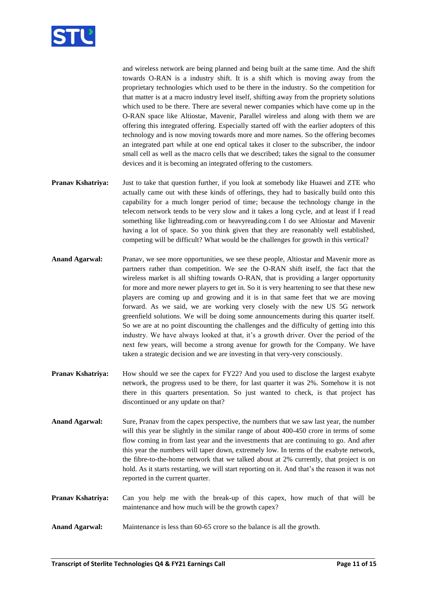

and wireless network are being planned and being built at the same time. And the shift towards O-RAN is a industry shift. It is a shift which is moving away from the proprietary technologies which used to be there in the industry. So the competition for that matter is at a macro industry level itself, shifting away from the propriety solutions which used to be there. There are several newer companies which have come up in the O-RAN space like Altiostar, Mavenir, Parallel wireless and along with them we are offering this integrated offering. Especially started off with the earlier adopters of this technology and is now moving towards more and more names. So the offering becomes an integrated part while at one end optical takes it closer to the subscriber, the indoor small cell as well as the macro cells that we described; takes the signal to the consumer devices and it is becoming an integrated offering to the customers.

- **Pranav Kshatriya:** Just to take that question further, if you look at somebody like Huawei and ZTE who actually came out with these kinds of offerings, they had to basically build onto this capability for a much longer period of time; because the technology change in the telecom network tends to be very slow and it takes a long cycle, and at least if I read something like lightreading.com or heavyreading.com I do see Altiostar and Mavenir having a lot of space. So you think given that they are reasonably well established, competing will be difficult? What would be the challenges for growth in this vertical?
- **Anand Agarwal:** Pranav, we see more opportunities, we see these people, Altiostar and Mavenir more as partners rather than competition. We see the O-RAN shift itself, the fact that the wireless market is all shifting towards O-RAN, that is providing a larger opportunity for more and more newer players to get in. So it is very heartening to see that these new players are coming up and growing and it is in that same feet that we are moving forward. As we said, we are working very closely with the new US 5G network greenfield solutions. We will be doing some announcements during this quarter itself. So we are at no point discounting the challenges and the difficulty of getting into this industry. We have always looked at that, it's a growth driver. Over the period of the next few years, will become a strong avenue for growth for the Company. We have taken a strategic decision and we are investing in that very-very consciously.
- **Pranav Kshatriya:** How should we see the capex for FY22? And you used to disclose the largest exabyte network, the progress used to be there, for last quarter it was 2%. Somehow it is not there in this quarters presentation. So just wanted to check, is that project has discontinued or any update on that?
- **Anand Agarwal:** Sure, Pranav from the capex perspective, the numbers that we saw last year, the number will this year be slightly in the similar range of about 400-450 crore in terms of some flow coming in from last year and the investments that are continuing to go. And after this year the numbers will taper down, extremely low. In terms of the exabyte network, the fibre-to-the-home network that we talked about at 2% currently, that project is on hold. As it starts restarting, we will start reporting on it. And that's the reason it was not reported in the current quarter.
- **Pranav Kshatriya:** Can you help me with the break-up of this capex, how much of that will be maintenance and how much will be the growth capex?
- **Anand Agarwal:** Maintenance is less than 60-65 crore so the balance is all the growth.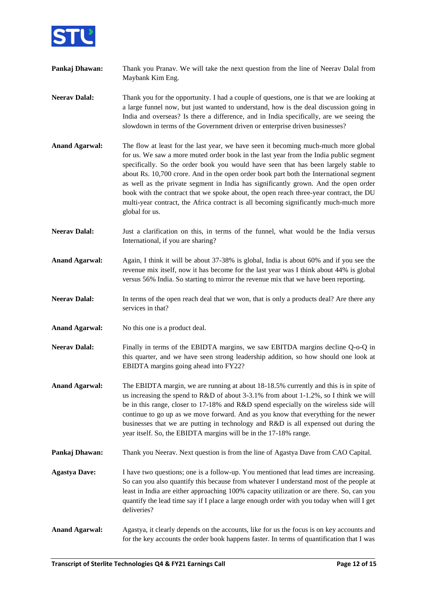

| Pankaj Dhawan:        | Thank you Pranav. We will take the next question from the line of Neerav Dalal from<br>Maybank Kim Eng.                                                                                                                                                                                                                                                                                                                                                                                                                                                                                                                                                   |
|-----------------------|-----------------------------------------------------------------------------------------------------------------------------------------------------------------------------------------------------------------------------------------------------------------------------------------------------------------------------------------------------------------------------------------------------------------------------------------------------------------------------------------------------------------------------------------------------------------------------------------------------------------------------------------------------------|
| <b>Neerav Dalal:</b>  | Thank you for the opportunity. I had a couple of questions, one is that we are looking at<br>a large funnel now, but just wanted to understand, how is the deal discussion going in<br>India and overseas? Is there a difference, and in India specifically, are we seeing the<br>slowdown in terms of the Government driven or enterprise driven businesses?                                                                                                                                                                                                                                                                                             |
| <b>Anand Agarwal:</b> | The flow at least for the last year, we have seen it becoming much-much more global<br>for us. We saw a more muted order book in the last year from the India public segment<br>specifically. So the order book you would have seen that has been largely stable to<br>about Rs. 10,700 crore. And in the open order book part both the International segment<br>as well as the private segment in India has significantly grown. And the open order<br>book with the contract that we spoke about, the open reach three-year contract, the DU<br>multi-year contract, the Africa contract is all becoming significantly much-much more<br>global for us. |
| <b>Neerav Dalal:</b>  | Just a clarification on this, in terms of the funnel, what would be the India versus<br>International, if you are sharing?                                                                                                                                                                                                                                                                                                                                                                                                                                                                                                                                |
| <b>Anand Agarwal:</b> | Again, I think it will be about 37-38% is global, India is about 60% and if you see the<br>revenue mix itself, now it has become for the last year was I think about 44% is global<br>versus 56% India. So starting to mirror the revenue mix that we have been reporting.                                                                                                                                                                                                                                                                                                                                                                                |
| <b>Neerav Dalal:</b>  | In terms of the open reach deal that we won, that is only a products deal? Are there any<br>services in that?                                                                                                                                                                                                                                                                                                                                                                                                                                                                                                                                             |
| <b>Anand Agarwal:</b> | No this one is a product deal.                                                                                                                                                                                                                                                                                                                                                                                                                                                                                                                                                                                                                            |
| <b>Neerav Dalal:</b>  | Finally in terms of the EBIDTA margins, we saw EBITDA margins decline Q-o-Q in<br>this quarter, and we have seen strong leadership addition, so how should one look at<br>EBIDTA margins going ahead into FY22?                                                                                                                                                                                                                                                                                                                                                                                                                                           |
| <b>Anand Agarwal:</b> | The EBIDTA margin, we are running at about 18-18.5% currently and this is in spite of<br>us increasing the spend to R&D of about 3-3.1% from about 1-1.2%, so I think we will<br>be in this range, closer to 17-18% and R&D spend especially on the wireless side will<br>continue to go up as we move forward. And as you know that everything for the newer<br>businesses that we are putting in technology and R&D is all expensed out during the<br>year itself. So, the EBIDTA margins will be in the 17-18% range.                                                                                                                                  |
| Pankaj Dhawan:        | Thank you Neerav. Next question is from the line of Agastya Dave from CAO Capital.                                                                                                                                                                                                                                                                                                                                                                                                                                                                                                                                                                        |
| <b>Agastya Dave:</b>  | I have two questions; one is a follow-up. You mentioned that lead times are increasing.<br>So can you also quantify this because from whatever I understand most of the people at<br>least in India are either approaching 100% capacity utilization or are there. So, can you<br>quantify the lead time say if I place a large enough order with you today when will I get<br>deliveries?                                                                                                                                                                                                                                                                |
| <b>Anand Agarwal:</b> | Agastya, it clearly depends on the accounts, like for us the focus is on key accounts and<br>for the key accounts the order book happens faster. In terms of quantification that I was                                                                                                                                                                                                                                                                                                                                                                                                                                                                    |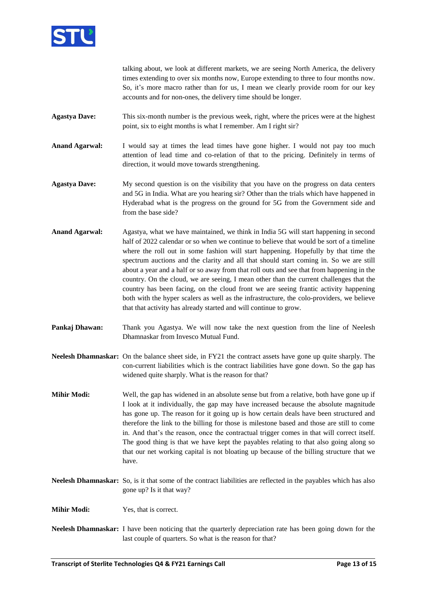

talking about, we look at different markets, we are seeing North America, the delivery times extending to over six months now, Europe extending to three to four months now. So, it's more macro rather than for us, I mean we clearly provide room for our key accounts and for non-ones, the delivery time should be longer.

- **Agastya Dave:** This six-month number is the previous week, right, where the prices were at the highest point, six to eight months is what I remember. Am I right sir?
- **Anand Agarwal:** I would say at times the lead times have gone higher. I would not pay too much attention of lead time and co-relation of that to the pricing. Definitely in terms of direction, it would move towards strengthening.
- **Agastya Dave:** My second question is on the visibility that you have on the progress on data centers and 5G in India. What are you hearing sir? Other than the trials which have happened in Hyderabad what is the progress on the ground for 5G from the Government side and from the base side?
- **Anand Agarwal:** Agastya, what we have maintained, we think in India 5G will start happening in second half of 2022 calendar or so when we continue to believe that would be sort of a timeline where the roll out in some fashion will start happening. Hopefully by that time the spectrum auctions and the clarity and all that should start coming in. So we are still about a year and a half or so away from that roll outs and see that from happening in the country. On the cloud, we are seeing, I mean other than the current challenges that the country has been facing, on the cloud front we are seeing frantic activity happening both with the hyper scalers as well as the infrastructure, the colo-providers, we believe that that activity has already started and will continue to grow.
- **Pankaj Dhawan:** Thank you Agastya. We will now take the next question from the line of Neelesh Dhamnaskar from Invesco Mutual Fund.
- **Neelesh Dhamnaskar:** On the balance sheet side, in FY21 the contract assets have gone up quite sharply. The con-current liabilities which is the contract liabilities have gone down. So the gap has widened quite sharply. What is the reason for that?
- **Mihir Modi:** Well, the gap has widened in an absolute sense but from a relative, both have gone up if I look at it individually, the gap may have increased because the absolute magnitude has gone up. The reason for it going up is how certain deals have been structured and therefore the link to the billing for those is milestone based and those are still to come in. And that's the reason, once the contractual trigger comes in that will correct itself. The good thing is that we have kept the payables relating to that also going along so that our net working capital is not bloating up because of the billing structure that we have.
- **Neelesh Dhamnaskar:** So, is it that some of the contract liabilities are reflected in the payables which has also gone up? Is it that way?

**Mihir Modi:** Yes, that is correct.

**Neelesh Dhamnaskar:** I have been noticing that the quarterly depreciation rate has been going down for the last couple of quarters. So what is the reason for that?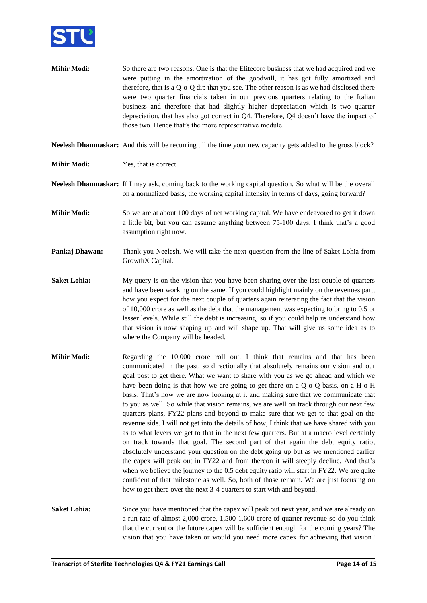

**Mihir Modi:** So there are two reasons. One is that the Elitecore business that we had acquired and we were putting in the amortization of the goodwill, it has got fully amortized and therefore, that is a Q-o-Q dip that you see. The other reason is as we had disclosed there were two quarter financials taken in our previous quarters relating to the Italian business and therefore that had slightly higher depreciation which is two quarter depreciation, that has also got correct in Q4. Therefore, Q4 doesn't have the impact of those two. Hence that's the more representative module.

**Neelesh Dhamnaskar:** And this will be recurring till the time your new capacity gets added to the gross block?

**Mihir Modi:** Yes, that is correct.

**Neelesh Dhamnaskar:** If I may ask, coming back to the working capital question. So what will be the overall on a normalized basis, the working capital intensity in terms of days, going forward?

- **Mihir Modi:** So we are at about 100 days of net working capital. We have endeavored to get it down a little bit, but you can assume anything between 75-100 days. I think that's a good assumption right now.
- **Pankaj Dhawan:** Thank you Neelesh. We will take the next question from the line of Saket Lohia from GrowthX Capital.
- **Saket Lohia:** My query is on the vision that you have been sharing over the last couple of quarters and have been working on the same. If you could highlight mainly on the revenues part, how you expect for the next couple of quarters again reiterating the fact that the vision of 10,000 crore as well as the debt that the management was expecting to bring to 0.5 or lesser levels. While still the debt is increasing, so if you could help us understand how that vision is now shaping up and will shape up. That will give us some idea as to where the Company will be headed.
- **Mihir Modi:** Regarding the 10,000 crore roll out, I think that remains and that has been communicated in the past, so directionally that absolutely remains our vision and our goal post to get there. What we want to share with you as we go ahead and which we have been doing is that how we are going to get there on a Q-o-Q basis, on a H-o-H basis. That's how we are now looking at it and making sure that we communicate that to you as well. So while that vision remains, we are well on track through our next few quarters plans, FY22 plans and beyond to make sure that we get to that goal on the revenue side. I will not get into the details of how, I think that we have shared with you as to what levers we get to that in the next few quarters. But at a macro level certainly on track towards that goal. The second part of that again the debt equity ratio, absolutely understand your question on the debt going up but as we mentioned earlier the capex will peak out in FY22 and from thereon it will steeply decline. And that's when we believe the journey to the 0.5 debt equity ratio will start in FY22. We are quite confident of that milestone as well. So, both of those remain. We are just focusing on how to get there over the next 3-4 quarters to start with and beyond.
- **Saket Lohia:** Since you have mentioned that the capex will peak out next year, and we are already on a run rate of almost 2,000 crore, 1,500-1,600 crore of quarter revenue so do you think that the current or the future capex will be sufficient enough for the coming years? The vision that you have taken or would you need more capex for achieving that vision?